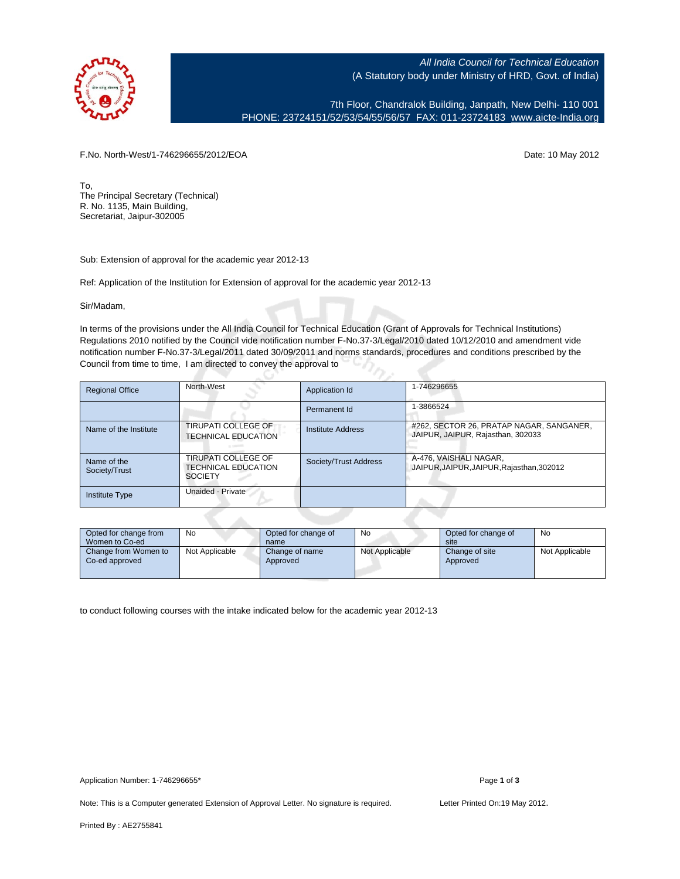

All India Council for Technical Education (A Statutory body under Ministry of HRD, Govt. of India)

7th Floor, Chandralok Building, Janpath, New Delhi- 110 001 PHONE: 23724151/52/53/54/55/56/57 FAX: 011-23724183 [www.aicte-India.org](http://www.aicte-India.org)

F.No. North-West/1-746296655/2012/EOA Date: 10 May 2012

To, The Principal Secretary (Technical) R. No. 1135, Main Building, Secretariat, Jaipur-302005

Sub: Extension of approval for the academic year 2012-13

Ref: Application of the Institution for Extension of approval for the academic year 2012-13

Sir/Madam,

In terms of the provisions under the All India Council for Technical Education (Grant of Approvals for Technical Institutions) Regulations 2010 notified by the Council vide notification number F-No.37-3/Legal/2010 dated 10/12/2010 and amendment vide notification number F-No.37-3/Legal/2011 dated 30/09/2011 and norms standards, procedures and conditions prescribed by the Council from time to time, I am directed to convey the approval to

| <b>Regional Office</b>       | North-West                                                          | Application Id        | 1-746296655                                                                   |
|------------------------------|---------------------------------------------------------------------|-----------------------|-------------------------------------------------------------------------------|
|                              |                                                                     | Permanent Id          | 1-3866524                                                                     |
| Name of the Institute        | <b>TIRUPATI COLLEGE OF</b><br><b>TECHNICAL EDUCATION</b>            | Institute Address     | #262, SECTOR 26, PRATAP NAGAR, SANGANER,<br>JAIPUR, JAIPUR, Rajasthan, 302033 |
| Name of the<br>Society/Trust | TIRUPATI COLLEGE OF<br><b>TECHNICAL EDUCATION</b><br><b>SOCIETY</b> | Society/Trust Address | A-476, VAISHALI NAGAR,<br>JAIPUR, JAIPUR, JAIPUR, Rajasthan, 302012           |
| <b>Institute Type</b>        | Unaided - Private                                                   |                       |                                                                               |

| Opted for change from<br>Women to Co-ed | No             | Opted for change of<br>name | No             | Opted for change of<br>site | No             |
|-----------------------------------------|----------------|-----------------------------|----------------|-----------------------------|----------------|
| Change from Women to<br>Co-ed approved  | Not Applicable | Change of name<br>Approved  | Not Applicable | Change of site<br>Approved  | Not Applicable |

to conduct following courses with the intake indicated below for the academic year 2012-13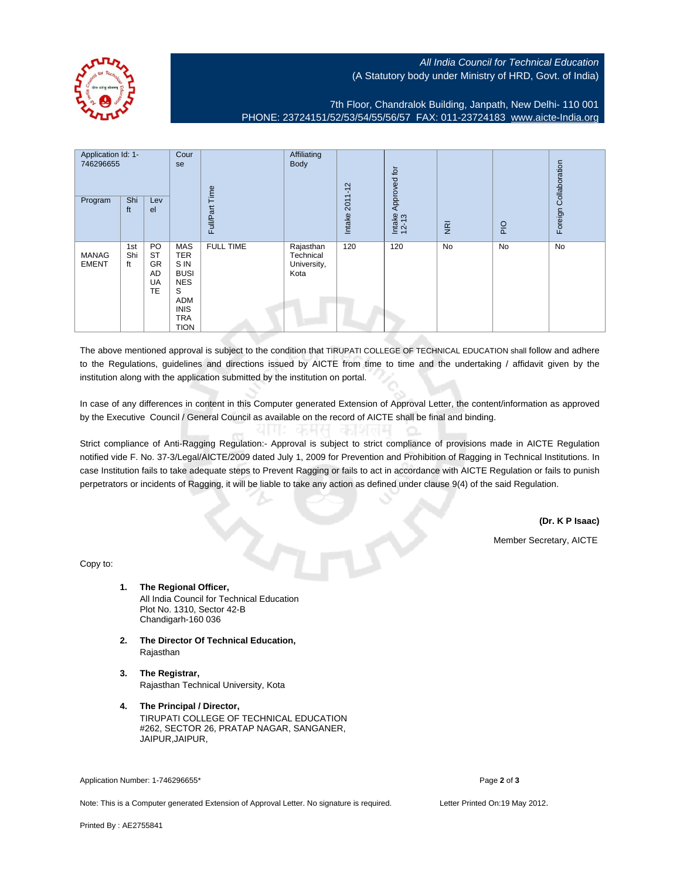

## All India Council for Technical Education (A Statutory body under Ministry of HRD, Govt. of India)

7th Floor, Chandralok Building, Janpath, New Delhi- 110 001 PHONE: 23724151/52/53/54/55/56/57 FAX: 011-23724183 [www.aicte-India.org](http://www.aicte-India.org)

| Application Id: 1-<br>746296655<br>Shi<br>Program<br>Lev<br>ft<br>el |                  | Cour<br>se<br>Time                             | Affiliating<br><b>Body</b>                                                                                     | $2011 - 12$      | Approved for                                  |        |                 | Foreign Collaboration |           |    |
|----------------------------------------------------------------------|------------------|------------------------------------------------|----------------------------------------------------------------------------------------------------------------|------------------|-----------------------------------------------|--------|-----------------|-----------------------|-----------|----|
|                                                                      |                  |                                                |                                                                                                                | Full/Part        |                                               | Intake | Intake<br>12-13 | $\overline{g}$        | PIO       |    |
| <b>MANAG</b><br><b>EMENT</b>                                         | 1st<br>Shi<br>ft | PO<br><b>ST</b><br><b>GR</b><br>AD<br>UA<br>TE | MAS<br><b>TER</b><br>S IN<br><b>BUSI</b><br><b>NES</b><br>S<br>ADM<br><b>INIS</b><br><b>TRA</b><br><b>TION</b> | <b>FULL TIME</b> | Rajasthan<br>Technical<br>University,<br>Kota | 120    | 120             | <b>No</b>             | <b>No</b> | No |

The above mentioned approval is subject to the condition that TIRUPATI COLLEGE OF TECHNICAL EDUCATION shall follow and adhere to the Regulations, guidelines and directions issued by AICTE from time to time and the undertaking / affidavit given by the institution along with the application submitted by the institution on portal.

In case of any differences in content in this Computer generated Extension of Approval Letter, the content/information as approved by the Executive Council / General Council as available on the record of AICTE shall be final and binding.

Strict compliance of Anti-Ragging Regulation:- Approval is subject to strict compliance of provisions made in AICTE Regulation notified vide F. No. 37-3/Legal/AICTE/2009 dated July 1, 2009 for Prevention and Prohibition of Ragging in Technical Institutions. In case Institution fails to take adequate steps to Prevent Ragging or fails to act in accordance with AICTE Regulation or fails to punish perpetrators or incidents of Ragging, it will be liable to take any action as defined under clause 9(4) of the said Regulation.

**(Dr. K P Isaac)**

Member Secretary, AICTE

Copy to:

- **1. The Regional Officer,** All India Council for Technical Education Plot No. 1310, Sector 42-B Chandigarh-160 036
- **2. The Director Of Technical Education,** Rajasthan
- **3. The Registrar,** Rajasthan Technical University, Kota
- **4. The Principal / Director,** TIRUPATI COLLEGE OF TECHNICAL EDUCATION #262, SECTOR 26, PRATAP NAGAR, SANGANER, JAIPUR,JAIPUR,

Application Number: 1-746296655\* Page 2 of 3

Note: This is a Computer generated Extension of Approval Letter. No signature is required. Letter Printed On:19 May 2012.